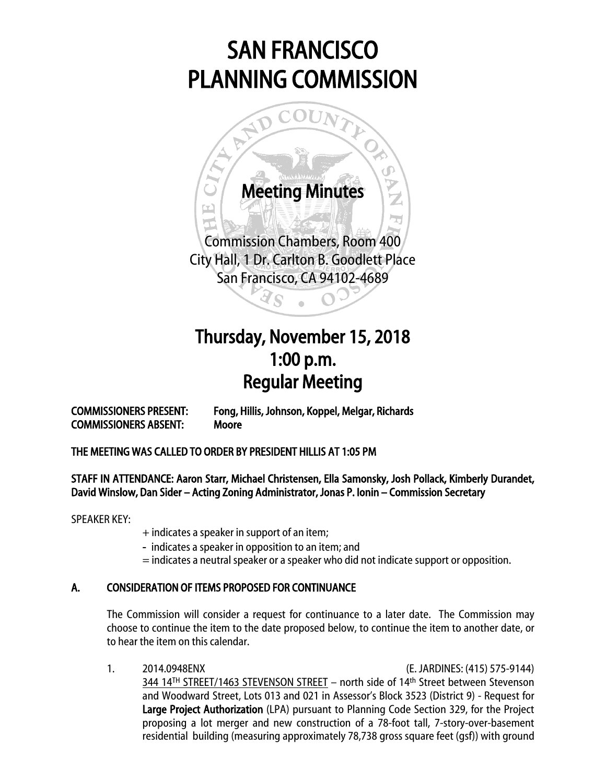# SAN FRANCISCO PLANNING COMMISSION



## Thursday, November 15, 2018 1:00 p.m. Regular Meeting

COMMISSIONERS ABSENT: Moore

COMMISSIONERS PRESENT: Fong, Hillis, Johnson, Koppel, Melgar, Richards

### THE MEETING WAS CALLED TO ORDER BY PRESIDENT HILLIS AT 1:05 PM

### STAFF IN ATTENDANCE: Aaron Starr, Michael Christensen, Ella Samonsky, Josh Pollack, Kimberly Durandet, David Winslow, Dan Sider – Acting Zoning Administrator, Jonas P. Ionin – Commission Secretary

SPEAKER KEY:

- + indicates a speaker in support of an item;
- indicates a speaker in opposition to an item; and
- = indicates a neutral speaker or a speaker who did not indicate support or opposition.

### A. CONSIDERATION OF ITEMS PROPOSED FOR CONTINUANCE

The Commission will consider a request for continuance to a later date. The Commission may choose to continue the item to the date proposed below, to continue the item to another date, or to hear the item on this calendar.

1. 2014.0948ENX (E. JARDINES: (415) 575-9144) 344 14TH STREET/1463 STEVENSON STREET – north side of 14th Street between Stevenson and Woodward Street, Lots 013 and 021 in Assessor's Block 3523 (District 9) - Request for Large Project Authorization (LPA) pursuant to Planning Code Section 329, for the Project proposing a lot merger and new construction of a 78-foot tall, 7-story-over-basement residential building (measuring approximately 78,738 gross square feet (gsf)) with ground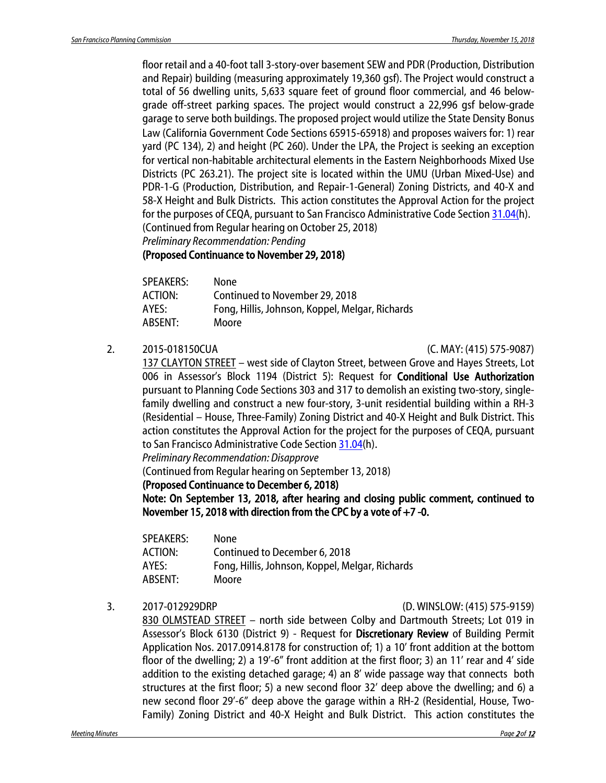floor retail and a 40-foot tall 3-story-over basement SEW and PDR (Production, Distribution and Repair) building (measuring approximately 19,360 gsf). The Project would construct a total of 56 dwelling units, 5,633 square feet of ground floor commercial, and 46 belowgrade off-street parking spaces. The project would construct a 22,996 gsf below-grade garage to serve both buildings. The proposed project would utilize the State Density Bonus Law (California Government Code Sections 65915‐65918) and proposes waivers for: 1) rear yard (PC 134), 2) and height (PC 260). Under the LPA, the Project is seeking an exception for vertical non-habitable architectural elements in the Eastern Neighborhoods Mixed Use Districts (PC 263.21). The project site is located within the UMU (Urban Mixed-Use) and PDR-1-G (Production, Distribution, and Repair-1-General) Zoning Districts, and 40-X and 58-X Height and Bulk Districts. This action constitutes the Approval Action for the project for the purposes of CEQA, pursuant to San Francisco Administrative Code Sectio[n 31.04\(h](http://library.amlegal.com/nxt/gateway.dll/California/administrative/chapter31californiaenvironmentalqualitya?f=templates$fn=default.htm$3.0$vid=amlegal:sanfrancisco_ca$anc=JD_31.04)). (Continued from Regular hearing on October 25, 2018)

*Preliminary Recommendation: Pending*

(Proposed Continuance to November 29, 2018)

| <b>SPEAKERS:</b> | None                                            |
|------------------|-------------------------------------------------|
| <b>ACTION:</b>   | Continued to November 29, 2018                  |
| AYES:            | Fong, Hillis, Johnson, Koppel, Melgar, Richards |
| ABSENT:          | Moore                                           |

#### 2. 2015-018150CUA (C. MAY: (415) 575-9087)

137 CLAYTON STREET – west side of Clayton Street, between Grove and Hayes Streets, Lot 006 in Assessor's Block 1194 (District 5): Request for Conditional Use Authorization pursuant to Planning Code Sections 303 and 317 to demolish an existing two-story, singlefamily dwelling and construct a new four-story, 3-unit residential building within a RH-3 (Residential – House, Three-Family) Zoning District and 40-X Height and Bulk District. This action constitutes the Approval Action for the project for the purposes of CEQA, pursuant to San Francisco Administrative Code Sectio[n 31.04\(](http://library.amlegal.com/nxt/gateway.dll/California/administrative/chapter31californiaenvironmentalqualitya?f=templates$fn=default.htm$3.0$vid=amlegal:sanfrancisco_ca$anc=JD_31.04)h).

*Preliminary Recommendation: Disapprove*

(Continued from Regular hearing on September 13, 2018)

(Proposed Continuance to December 6, 2018)

Note: On September 13, 2018, after hearing and closing public comment, continued to November 15, 2018 with direction from the CPC by a vote of  $+7$  -0.

| SPEAKERS: | None                                            |
|-----------|-------------------------------------------------|
| ACTION:   | Continued to December 6, 2018                   |
| AYES:     | Fong, Hillis, Johnson, Koppel, Melgar, Richards |
| ABSENT:   | Moore                                           |

#### 3. 2017-012929DRP (D. WINSLOW: (415) 575-9159)

830 OLMSTEAD STREET – north side between Colby and Dartmouth Streets; Lot 019 in Assessor's Block 6130 (District 9) - Request for Discretionary Review of Building Permit Application Nos. 2017.0914.8178 for construction of; 1) a 10' front addition at the bottom floor of the dwelling; 2) a 19'-6" front addition at the first floor; 3) an 11' rear and 4' side addition to the existing detached garage; 4) an 8' wide passage way that connects both structures at the first floor; 5) a new second floor 32' deep above the dwelling; and 6) a new second floor 29'-6" deep above the garage within a RH-2 (Residential, House, Two-Family) Zoning District and 40-X Height and Bulk District. This action constitutes the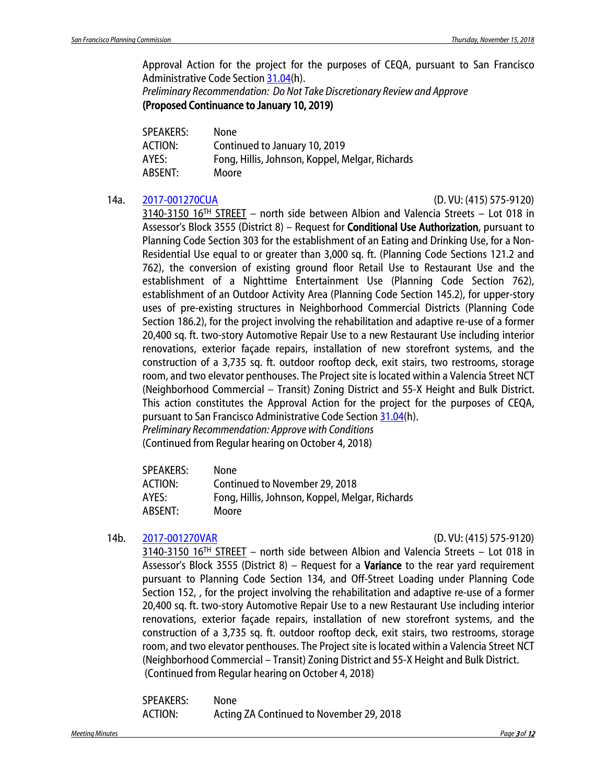Approval Action for the project for the purposes of CEQA, pursuant to San Francisco Administrative Code Section [31.04\(](http://library.amlegal.com/nxt/gateway.dll/California/administrative/chapter31californiaenvironmentalqualitya?f=templates$fn=default.htm$3.0$vid=amlegal:sanfrancisco_ca$anc=JD_31.04)h).

*Preliminary Recommendation: Do Not Take Discretionary Review and Approve* (Proposed Continuance to January 10, 2019)

| <b>SPEAKERS:</b> | None                                            |
|------------------|-------------------------------------------------|
| <b>ACTION:</b>   | Continued to January 10, 2019                   |
| AYES:            | Fong, Hillis, Johnson, Koppel, Melgar, Richards |
| ABSENT:          | Moore                                           |

#### 14a. [2017-001270CUA](http://commissions.sfplanning.org/cpcpackets/2017-001270CUAVARc1.pdf) (D. VU: (415) 575-9120)

3140-3150 16TH STREET – north side between Albion and Valencia Streets – Lot 018 in Assessor's Block 3555 (District 8) – Request for Conditional Use Authorization, pursuant to Planning Code Section 303 for the establishment of an Eating and Drinking Use, for a Non-Residential Use equal to or greater than 3,000 sq. ft. (Planning Code Sections 121.2 and 762), the conversion of existing ground floor Retail Use to Restaurant Use and the establishment of a Nighttime Entertainment Use (Planning Code Section 762), establishment of an Outdoor Activity Area (Planning Code Section 145.2), for upper-story uses of pre-existing structures in Neighborhood Commercial Districts (Planning Code Section 186.2), for the project involving the rehabilitation and adaptive re-use of a former 20,400 sq. ft. two-story Automotive Repair Use to a new Restaurant Use including interior renovations, exterior façade repairs, installation of new storefront systems, and the construction of a 3,735 sq. ft. outdoor rooftop deck, exit stairs, two restrooms, storage room, and two elevator penthouses. The Project site is located within a Valencia Street NCT (Neighborhood Commercial – Transit) Zoning District and 55-X Height and Bulk District. This action constitutes the Approval Action for the project for the purposes of CEQA, pursuant to San Francisco Administrative Code Section [31.04\(](http://library.amlegal.com/nxt/gateway.dll/California/administrative/chapter31californiaenvironmentalqualitya?f=templates$fn=default.htm$3.0$vid=amlegal:sanfrancisco_ca$anc=JD_31.04)h). *Preliminary Recommendation: Approve with Conditions*

(Continued from Regular hearing on October 4, 2018)

| <b>SPEAKERS:</b> | None                                            |
|------------------|-------------------------------------------------|
| ACTION:          | Continued to November 29, 2018                  |
| AYES:            | Fong, Hillis, Johnson, Koppel, Melgar, Richards |
| ABSENT:          | Moore                                           |

#### 14b. [2017-001270VAR](http://commissions.sfplanning.org/cpcpackets/2017-001270CUAVARc1.pdf) (D. VU: (415) 575-9120)

3140-3150 16TH STREET – north side between Albion and Valencia Streets – Lot 018 in Assessor's Block 3555 (District 8) – Request for a **Variance** to the rear yard requirement pursuant to Planning Code Section 134, and Off-Street Loading under Planning Code Section 152, , for the project involving the rehabilitation and adaptive re-use of a former 20,400 sq. ft. two-story Automotive Repair Use to a new Restaurant Use including interior renovations, exterior façade repairs, installation of new storefront systems, and the construction of a 3,735 sq. ft. outdoor rooftop deck, exit stairs, two restrooms, storage room, and two elevator penthouses. The Project site is located within a Valencia Street NCT (Neighborhood Commercial – Transit) Zoning District and 55-X Height and Bulk District. (Continued from Regular hearing on October 4, 2018)

SPEAKERS: None ACTION: Acting ZA Continued to November 29, 2018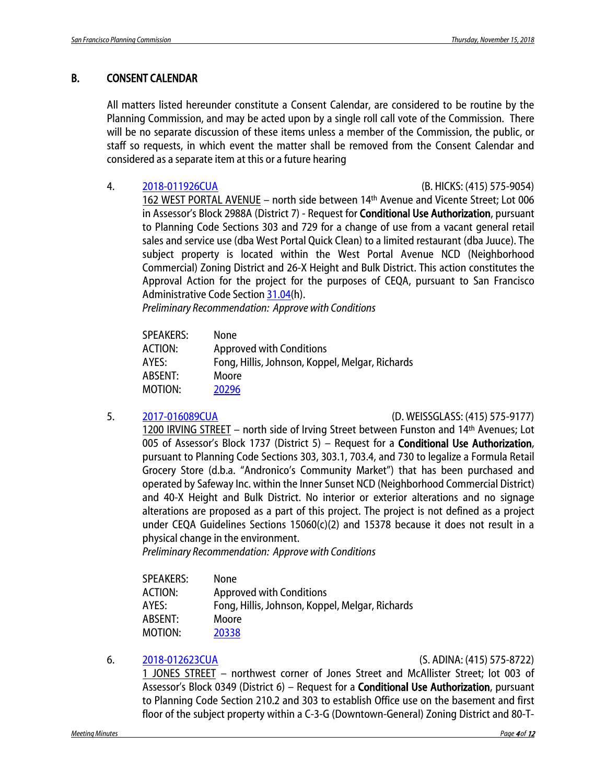### B. CONSENT CALENDAR

All matters listed hereunder constitute a Consent Calendar, are considered to be routine by the Planning Commission, and may be acted upon by a single roll call vote of the Commission. There will be no separate discussion of these items unless a member of the Commission, the public, or staff so requests, in which event the matter shall be removed from the Consent Calendar and considered as a separate item at this or a future hearing

4. [2018-011926CUA](http://commissions.sfplanning.org/cpcpackets/2018-011926CUA.pdf) (B. HICKS: (415) 575-9054)

162 WEST PORTAL AVENUE – north side between 14th Avenue and Vicente Street; Lot 006 in Assessor's Block 2988A (District 7) - Request for **Conditional Use Authorization**, pursuant to Planning Code Sections 303 and 729 for a change of use from a vacant general retail sales and service use (dba West Portal Quick Clean) to a limited restaurant (dba Juuce). The subject property is located within the West Portal Avenue NCD (Neighborhood Commercial) Zoning District and 26-X Height and Bulk District. This action constitutes the Approval Action for the project for the purposes of CEQA, pursuant to San Francisco Administrative Code Section [31.04\(](http://library.amlegal.com/nxt/gateway.dll/California/administrative/chapter31californiaenvironmentalqualitya?f=templates$fn=default.htm$3.0$vid=amlegal:sanfrancisco_ca$anc=JD_31.04)h).

*Preliminary Recommendation: Approve with Conditions*

| <b>SPEAKERS:</b> | <b>None</b>                                     |
|------------------|-------------------------------------------------|
| ACTION:          | <b>Approved with Conditions</b>                 |
| AYES:            | Fong, Hillis, Johnson, Koppel, Melgar, Richards |
| ABSENT:          | Moore                                           |
| MOTION:          | 20296                                           |
|                  |                                                 |

#### 5. [2017-016089CUA](http://commissions.sfplanning.org/cpcpackets/2017-016089CUA.pdf) (D. WEISSGLASS: (415) 575-9177)

1200 IRVING STREET – north side of Irving Street between Funston and 14th Avenues; Lot 005 of Assessor's Block 1737 (District 5) – Request for a Conditional Use Authorization, pursuant to Planning Code Sections 303, 303.1, 703.4, and 730 to legalize a Formula Retail Grocery Store (d.b.a. "Andronico's Community Market") that has been purchased and operated by Safeway Inc. within the Inner Sunset NCD (Neighborhood Commercial District) and 40-X Height and Bulk District. No interior or exterior alterations and no signage alterations are proposed as a part of this project. The project is not defined as a project under CEQA Guidelines Sections 15060(c)(2) and 15378 because it does not result in a physical change in the environment.

*Preliminary Recommendation: Approve with Conditions*

| SPEAKERS: | None                                            |
|-----------|-------------------------------------------------|
| ACTION:   | <b>Approved with Conditions</b>                 |
| AYFS:     | Fong, Hillis, Johnson, Koppel, Melgar, Richards |
| ABSENT:   | Moore                                           |
| MOTION:   | 20338                                           |

#### 6. [2018-012623CUA](http://commissions.sfplanning.org/cpcpackets/2018-012623CUA.pdf) (S. ADINA: (415) 575-8722)

1 JONES STREET – northwest corner of Jones Street and McAllister Street; lot 003 of Assessor's Block 0349 (District 6) – Request for a Conditional Use Authorization, pursuant to Planning Code Section 210.2 and 303 to establish Office use on the basement and first floor of the subject property within a C-3-G (Downtown-General) Zoning District and 80-T-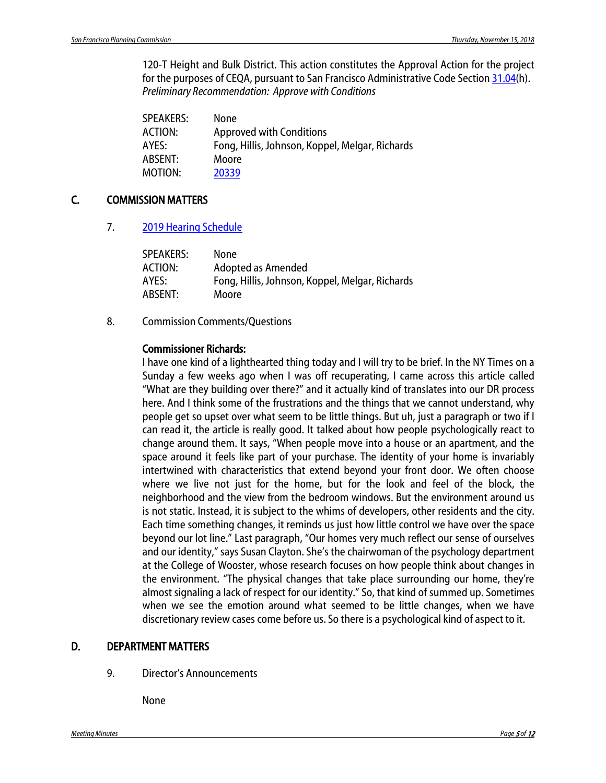120-T Height and Bulk District. This action constitutes the Approval Action for the project for the purposes of CEQA, pursuant to San Francisco Administrative Code Sectio[n 31.04\(](http://library.amlegal.com/nxt/gateway.dll/California/administrative/chapter31californiaenvironmentalqualitya?f=templates$fn=default.htm$3.0$vid=amlegal:sanfrancisco_ca$anc=JD_31.04)h). *Preliminary Recommendation: Approve with Conditions*

| SPEAKERS: | <b>None</b>                                     |
|-----------|-------------------------------------------------|
| ACTION:   | <b>Approved with Conditions</b>                 |
| AYES:     | Fong, Hillis, Johnson, Koppel, Melgar, Richards |
| ABSENT:   | Moore                                           |
| MOTION:   | 20339                                           |
|           |                                                 |

### C. COMMISSION MATTERS

7. [2019 Hearing Schedule](http://commissions.sfplanning.org/cpcpackets/2019%20-%20Draft%20CPC%20Hearing%20Schedule.pdf)

| SPEAKERS: | None                                            |
|-----------|-------------------------------------------------|
| ACTION:   | Adopted as Amended                              |
| AYES:     | Fong, Hillis, Johnson, Koppel, Melgar, Richards |
| ABSENT:   | Moore                                           |
|           |                                                 |

8. Commission Comments/Questions

#### Commissioner Richards:

I have one kind of a lighthearted thing today and I will try to be brief. In the NY Times on a Sunday a few weeks ago when I was off recuperating, I came across this article called "What are they building over there?" and it actually kind of translates into our DR process here. And I think some of the frustrations and the things that we cannot understand, why people get so upset over what seem to be little things. But uh, just a paragraph or two if I can read it, the article is really good. It talked about how people psychologically react to change around them. It says, "When people move into a house or an apartment, and the space around it feels like part of your purchase. The identity of your home is invariably intertwined with characteristics that extend beyond your front door. We often choose where we live not just for the home, but for the look and feel of the block, the neighborhood and the view from the bedroom windows. But the environment around us is not static. Instead, it is subject to the whims of developers, other residents and the city. Each time something changes, it reminds us just how little control we have over the space beyond our lot line." Last paragraph, "Our homes very much reflect our sense of ourselves and our identity," says Susan Clayton. She's the chairwoman of the psychology department at the College of Wooster, whose research focuses on how people think about changes in the environment. "The physical changes that take place surrounding our home, they're almost signaling a lack of respect for our identity." So, that kind of summed up. Sometimes when we see the emotion around what seemed to be little changes, when we have discretionary review cases come before us. So there is a psychological kind of aspect to it.

#### D. DEPARTMENT MATTERS

9. Director's Announcements

None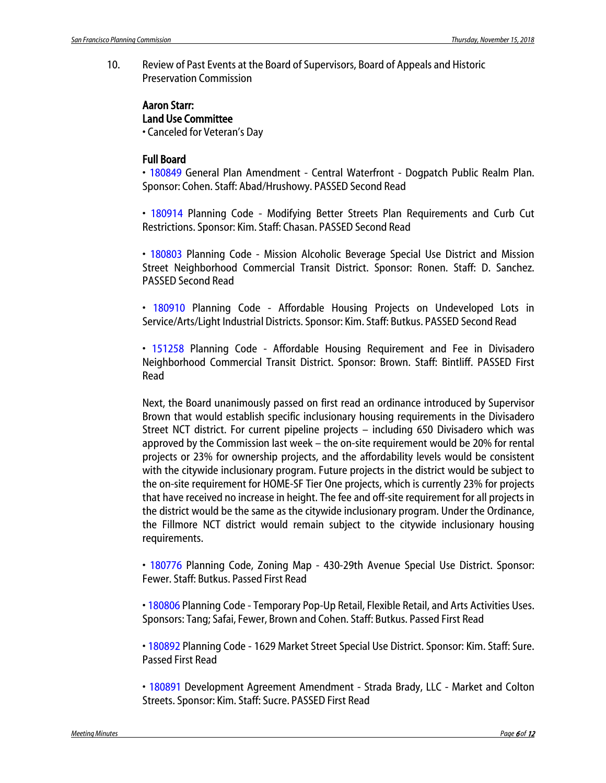10. Review of Past Events at the Board of Supervisors, Board of Appeals and Historic Preservation Commission

### Aaron Starr: Land Use Committee

• Canceled for Veteran's Day

#### Full Board

• 180849 General Plan Amendment - Central Waterfront - Dogpatch Public Realm Plan. Sponsor: Cohen. Staff: Abad/Hrushowy. PASSED Second Read

• 180914 Planning Code - Modifying Better Streets Plan Requirements and Curb Cut Restrictions. Sponsor: Kim. Staff: Chasan. PASSED Second Read

• 180803 Planning Code - Mission Alcoholic Beverage Special Use District and Mission Street Neighborhood Commercial Transit District. Sponsor: Ronen. Staff: D. Sanchez. PASSED Second Read

• 180910 Planning Code - Affordable Housing Projects on Undeveloped Lots in Service/Arts/Light Industrial Districts. Sponsor: Kim. Staff: Butkus. PASSED Second Read

• 151258 Planning Code - Affordable Housing Requirement and Fee in Divisadero Neighborhood Commercial Transit District. Sponsor: Brown. Staff: Bintliff. PASSED First Read

Next, the Board unanimously passed on first read an ordinance introduced by Supervisor Brown that would establish specific inclusionary housing requirements in the Divisadero Street NCT district. For current pipeline projects – including 650 Divisadero which was approved by the Commission last week – the on-site requirement would be 20% for rental projects or 23% for ownership projects, and the affordability levels would be consistent with the citywide inclusionary program. Future projects in the district would be subject to the on-site requirement for HOME-SF Tier One projects, which is currently 23% for projects that have received no increase in height. The fee and off-site requirement for all projects in the district would be the same as the citywide inclusionary program. Under the Ordinance, the Fillmore NCT district would remain subject to the citywide inclusionary housing requirements.

• 180776 Planning Code, Zoning Map - 430-29th Avenue Special Use District. Sponsor: Fewer. Staff: Butkus. Passed First Read

• 180806 Planning Code - Temporary Pop-Up Retail, Flexible Retail, and Arts Activities Uses. Sponsors: Tang; Safai, Fewer, Brown and Cohen. Staff: Butkus. Passed First Read

• 180892 Planning Code - 1629 Market Street Special Use District. Sponsor: Kim. Staff: Sure. Passed First Read

• 180891 Development Agreement Amendment - Strada Brady, LLC - Market and Colton Streets. Sponsor: Kim. Staff: Sucre. PASSED First Read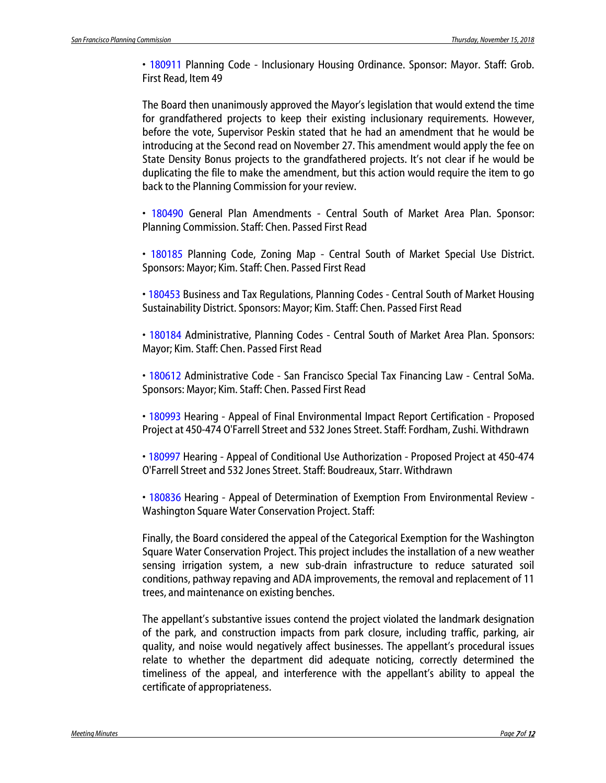• 180911 Planning Code - Inclusionary Housing Ordinance. Sponsor: Mayor. Staff: Grob. First Read, Item 49

The Board then unanimously approved the Mayor's legislation that would extend the time for grandfathered projects to keep their existing inclusionary requirements. However, before the vote, Supervisor Peskin stated that he had an amendment that he would be introducing at the Second read on November 27. This amendment would apply the fee on State Density Bonus projects to the grandfathered projects. It's not clear if he would be duplicating the file to make the amendment, but this action would require the item to go back to the Planning Commission for your review.

• 180490 General Plan Amendments - Central South of Market Area Plan. Sponsor: Planning Commission. Staff: Chen. Passed First Read

• 180185 Planning Code, Zoning Map - Central South of Market Special Use District. Sponsors: Mayor; Kim. Staff: Chen. Passed First Read

• 180453 Business and Tax Regulations, Planning Codes - Central South of Market Housing Sustainability District. Sponsors: Mayor; Kim. Staff: Chen. Passed First Read

• 180184 Administrative, Planning Codes - Central South of Market Area Plan. Sponsors: Mayor; Kim. Staff: Chen. Passed First Read

• 180612 Administrative Code - San Francisco Special Tax Financing Law - Central SoMa. Sponsors: Mayor; Kim. Staff: Chen. Passed First Read

• 180993 Hearing - Appeal of Final Environmental Impact Report Certification - Proposed Project at 450-474 O'Farrell Street and 532 Jones Street. Staff: Fordham, Zushi. Withdrawn

• 180997 Hearing - Appeal of Conditional Use Authorization - Proposed Project at 450-474 O'Farrell Street and 532 Jones Street. Staff: Boudreaux, Starr. Withdrawn

• 180836 Hearing - Appeal of Determination of Exemption From Environmental Review - Washington Square Water Conservation Project. Staff:

Finally, the Board considered the appeal of the Categorical Exemption for the Washington Square Water Conservation Project. This project includes the installation of a new weather sensing irrigation system, a new sub-drain infrastructure to reduce saturated soil conditions, pathway repaving and ADA improvements, the removal and replacement of 11 trees, and maintenance on existing benches.

The appellant's substantive issues contend the project violated the landmark designation of the park, and construction impacts from park closure, including traffic, parking, air quality, and noise would negatively affect businesses. The appellant's procedural issues relate to whether the department did adequate noticing, correctly determined the timeliness of the appeal, and interference with the appellant's ability to appeal the certificate of appropriateness.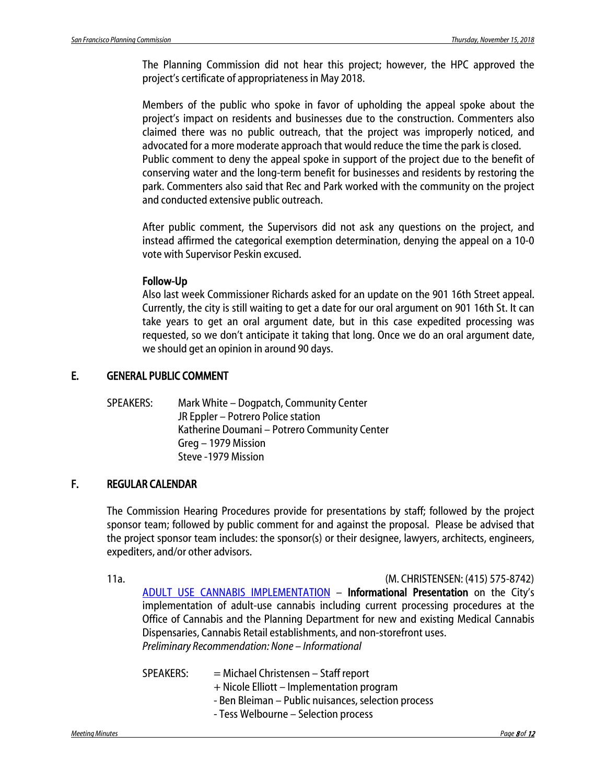The Planning Commission did not hear this project; however, the HPC approved the project's certificate of appropriateness in May 2018.

Members of the public who spoke in favor of upholding the appeal spoke about the project's impact on residents and businesses due to the construction. Commenters also claimed there was no public outreach, that the project was improperly noticed, and advocated for a more moderate approach that would reduce the time the park is closed. Public comment to deny the appeal spoke in support of the project due to the benefit of conserving water and the long-term benefit for businesses and residents by restoring the park. Commenters also said that Rec and Park worked with the community on the project and conducted extensive public outreach.

After public comment, the Supervisors did not ask any questions on the project, and instead affirmed the categorical exemption determination, denying the appeal on a 10-0 vote with Supervisor Peskin excused.

#### Follow-Up

Also last week Commissioner Richards asked for an update on the 901 16th Street appeal. Currently, the city is still waiting to get a date for our oral argument on 901 16th St. It can take years to get an oral argument date, but in this case expedited processing was requested, so we don't anticipate it taking that long. Once we do an oral argument date, we should get an opinion in around 90 days.

### E. GENERAL PUBLIC COMMENT

SPEAKERS: Mark White – Dogpatch, Community Center JR Eppler – Potrero Police station Katherine Doumani – Potrero Community Center Greg – 1979 Mission Steve -1979 Mission

### F. REGULAR CALENDAR

The Commission Hearing Procedures provide for presentations by staff; followed by the project sponsor team; followed by public comment for and against the proposal. Please be advised that the project sponsor team includes: the sponsor(s) or their designee, lawyers, architects, engineers, expediters, and/or other advisors.

11a. (M. CHRISTENSEN: (415) 575-8742)

[ADULT USE CANNABIS IMPLEMENTATION](http://commissions.sfplanning.org/cpcpackets/2018-008367PCA.pdf) – Informational Presentation on the City's implementation of adult-use cannabis including current processing procedures at the Office of Cannabis and the Planning Department for new and existing Medical Cannabis Dispensaries, Cannabis Retail establishments, and non-storefront uses. *Preliminary Recommendation: None – Informational* 

| $=$ Michael Christensen – Staff report              |
|-----------------------------------------------------|
| + Nicole Elliott – Implementation program           |
| - Ben Bleiman – Public nuisances, selection process |
| - Tess Welbourne - Selection process                |
|                                                     |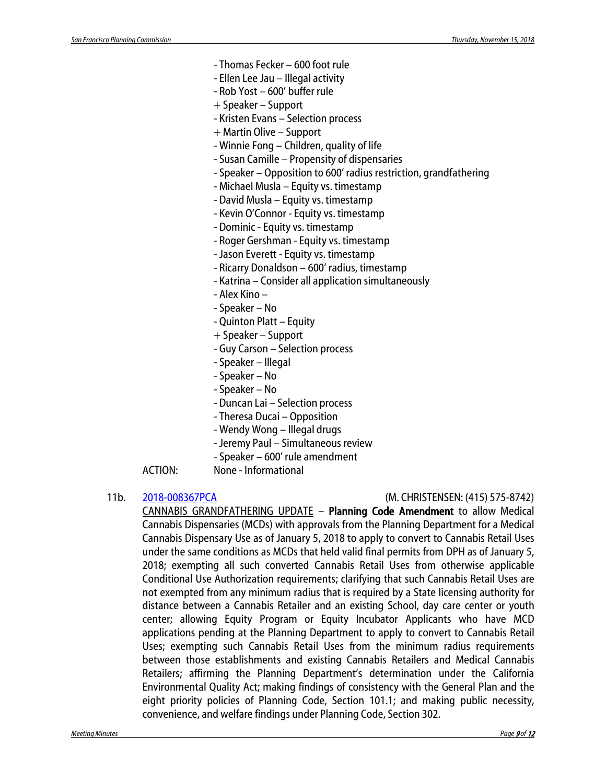- Thomas Fecker 600 foot rule
- Ellen Lee Jau Illegal activity
- Rob Yost 600' buffer rule
- + Speaker Support
- Kristen Evans Selection process
- + Martin Olive Support
- Winnie Fong Children, quality of life
- Susan Camille Propensity of dispensaries
- Speaker Opposition to 600' radius restriction, grandfathering
- Michael Musla Equity vs. timestamp
- David Musla Equity vs. timestamp
- Kevin O'Connor Equity vs. timestamp
- Dominic Equity vs. timestamp
- Roger Gershman Equity vs. timestamp
- Jason Everett Equity vs. timestamp
- Ricarry Donaldson 600' radius, timestamp
- Katrina Consider all application simultaneously
- Alex Kino –
- Speaker No
- Quinton Platt Equity
- + Speaker Support
- Guy Carson Selection process
- Speaker Illegal
- Speaker No
- Speaker No
- Duncan Lai Selection process
- Theresa Ducai Opposition
- Wendy Wong Illegal drugs
- Jeremy Paul Simultaneous review
- Speaker 600' rule amendment
- ACTION: None Informational
- 

#### 11b. [2018-008367PCA](http://commissions.sfplanning.org/cpcpackets/2018-008367PCA.pdf) (M. CHRISTENSEN: (415) 575-8742)

CANNABIS GRANDFATHERING UPDATE – Planning Code Amendment to allow Medical Cannabis Dispensaries (MCDs) with approvals from the Planning Department for a Medical Cannabis Dispensary Use as of January 5, 2018 to apply to convert to Cannabis Retail Uses under the same conditions as MCDs that held valid final permits from DPH as of January 5, 2018; exempting all such converted Cannabis Retail Uses from otherwise applicable Conditional Use Authorization requirements; clarifying that such Cannabis Retail Uses are not exempted from any minimum radius that is required by a State licensing authority for distance between a Cannabis Retailer and an existing School, day care center or youth center; allowing Equity Program or Equity Incubator Applicants who have MCD applications pending at the Planning Department to apply to convert to Cannabis Retail Uses; exempting such Cannabis Retail Uses from the minimum radius requirements between those establishments and existing Cannabis Retailers and Medical Cannabis Retailers; affirming the Planning Department's determination under the California Environmental Quality Act; making findings of consistency with the General Plan and the eight priority policies of Planning Code, Section 101.1; and making public necessity, convenience, and welfare findings under Planning Code, Section 302.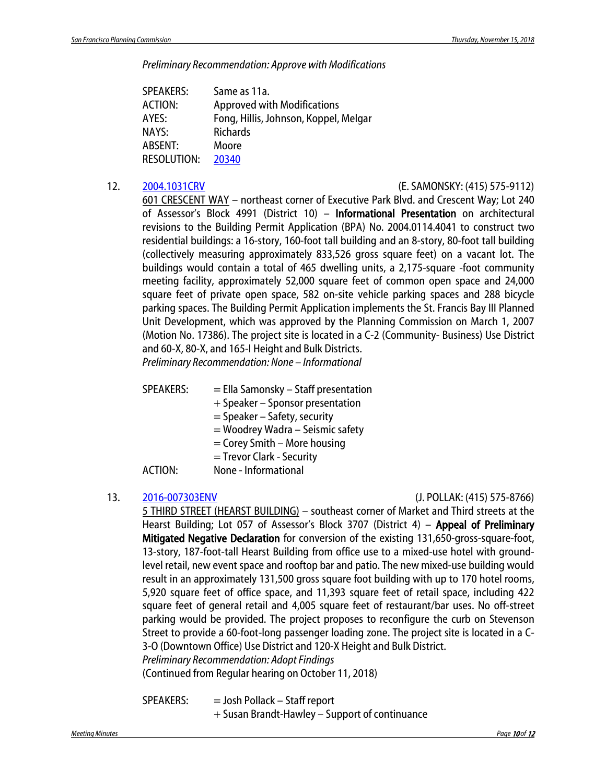*Preliminary Recommendation: Approve with Modifications*

| <b>SPEAKERS:</b>   | Same as 11a.                          |
|--------------------|---------------------------------------|
| <b>ACTION:</b>     | <b>Approved with Modifications</b>    |
| AYES:              | Fong, Hillis, Johnson, Koppel, Melgar |
| NAYS:              | <b>Richards</b>                       |
| ABSENT:            | Moore                                 |
| <b>RESOLUTION:</b> | 20340                                 |

#### 12. [2004.1031CRV](http://commissions.sfplanning.org/cpcpackets/2004.1031CRV.pdf) (E. SAMONSKY: (415) 575-9112)

601 CRESCENT WAY – northeast corner of Executive Park Blvd. and Crescent Way; Lot 240 of Assessor's Block 4991 (District 10) – Informational Presentation on architectural revisions to the Building Permit Application (BPA) No. 2004.0114.4041 to construct two residential buildings: a 16-story, 160-foot tall building and an 8-story, 80-foot tall building (collectively measuring approximately 833,526 gross square feet) on a vacant lot. The buildings would contain a total of 465 dwelling units, a 2,175-square -foot community meeting facility, approximately 52,000 square feet of common open space and 24,000 square feet of private open space, 582 on-site vehicle parking spaces and 288 bicycle parking spaces. The Building Permit Application implements the St. Francis Bay III Planned Unit Development, which was approved by the Planning Commission on March 1, 2007 (Motion No. 17386). The project site is located in a C-2 (Community- Business) Use District and 60-X, 80-X, and 165-I Height and Bulk Districts. *Preliminary Recommendation: None – Informational* 

 $SPEAKERS: =$  Ella Samonsky – Staff presentation

- + Speaker Sponsor presentation
	- = Speaker Safety, security
	- = Woodrey Wadra Seismic safety
	- = Corey Smith More housing
- = Trevor Clark Security

### ACTION: None - Informational

#### 13. [2016-007303ENV](http://commissions.sfplanning.org/cpcpackets/2016-007303ENV.pdf) (J. POLLAK: (415) 575-8766)

5 THIRD STREET (HEARST BUILDING) – southeast corner of Market and Third streets at the Hearst Building; Lot 057 of Assessor's Block 3707 (District 4) – **Appeal of Preliminary** Mitigated Negative Declaration for conversion of the existing 131,650-gross-square-foot, 13-story, 187-foot-tall Hearst Building from office use to a mixed-use hotel with groundlevel retail, new event space and rooftop bar and patio. The new mixed-use building would result in an approximately 131,500 gross square foot building with up to 170 hotel rooms, 5,920 square feet of office space, and 11,393 square feet of retail space, including 422 square feet of general retail and 4,005 square feet of restaurant/bar uses. No off-street parking would be provided. The project proposes to reconfigure the curb on Stevenson Street to provide a 60-foot-long passenger loading zone. The project site is located in a C-3-O (Downtown Office) Use District and 120-X Height and Bulk District.

*Preliminary Recommendation: Adopt Findings*

(Continued from Regular hearing on October 11, 2018)

SPEAKERS: = Josh Pollack – Staff report + Susan Brandt-Hawley – Support of continuance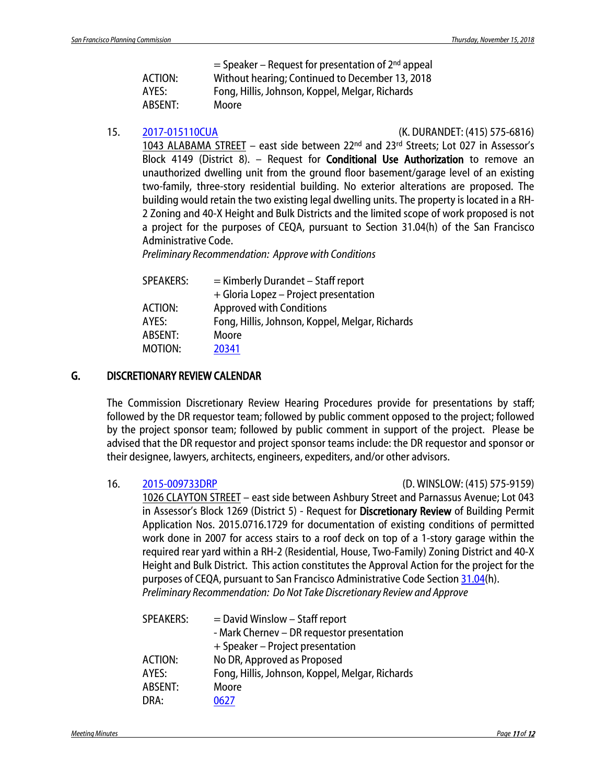|                | $=$ Speaker – Request for presentation of 2 <sup>nd</sup> appeal |
|----------------|------------------------------------------------------------------|
| <b>ACTION:</b> | Without hearing; Continued to December 13, 2018                  |
| AYES:          | Fong, Hillis, Johnson, Koppel, Melgar, Richards                  |
| ABSENT:        | Moore                                                            |

15. [2017-015110CUA](http://commissions.sfplanning.org/cpcpackets/2017-015110CUA.pdf) (K. DURANDET: (415) 575-6816)

1043 ALABAMA STREET – east side between 22nd and 23rd Streets; Lot 027 in Assessor's Block 4149 (District 8). – Request for Conditional Use Authorization to remove an unauthorized dwelling unit from the ground floor basement/garage level of an existing two-family, three-story residential building. No exterior alterations are proposed. The building would retain the two existing legal dwelling units. The property is located in a RH-2 Zoning and 40-X Height and Bulk Districts and the limited scope of work proposed is not a project for the purposes of CEQA, pursuant to Section 31.04(h) of the San Francisco Administrative Code.

*Preliminary Recommendation: Approve with Conditions*

| $=$ Kimberly Durandet – Staff report            |
|-------------------------------------------------|
| + Gloria Lopez – Project presentation           |
| <b>Approved with Conditions</b>                 |
| Fong, Hillis, Johnson, Koppel, Melgar, Richards |
| Moore                                           |
| 20341                                           |
|                                                 |

#### G. DISCRETIONARY REVIEW CALENDAR

The Commission Discretionary Review Hearing Procedures provide for presentations by staff; followed by the DR requestor team; followed by public comment opposed to the project; followed by the project sponsor team; followed by public comment in support of the project. Please be advised that the DR requestor and project sponsor teams include: the DR requestor and sponsor or their designee, lawyers, architects, engineers, expediters, and/or other advisors.

16. [2015-009733DRP](http://commissions.sfplanning.org/cpcpackets/2015-009733DRP.pdf) (D. WINSLOW: (415) 575-9159)

1026 CLAYTON STREET – east side between Ashbury Street and Parnassus Avenue; Lot 043 in Assessor's Block 1269 (District 5) - Request for Discretionary Review of Building Permit Application Nos. 2015.0716.1729 for documentation of existing conditions of permitted work done in 2007 for access stairs to a roof deck on top of a 1-story garage within the required rear yard within a RH-2 (Residential, House, Two-Family) Zoning District and 40-X Height and Bulk District. This action constitutes the Approval Action for the project for the purposes of CEQA, pursuant to San Francisco Administrative Code Section [31.04\(](http://library.amlegal.com/nxt/gateway.dll/California/administrative/chapter31californiaenvironmentalqualitya?f=templates$fn=default.htm$3.0$vid=amlegal:sanfrancisco_ca$anc=JD_31.04)h). *Preliminary Recommendation: Do Not Take Discretionary Review and Approve*

| <b>SPEAKERS:</b> | $=$ David Winslow – Staff report                |
|------------------|-------------------------------------------------|
|                  | - Mark Chernev - DR requestor presentation      |
|                  | + Speaker – Project presentation                |
| <b>ACTION:</b>   | No DR, Approved as Proposed                     |
| AYES:            | Fong, Hillis, Johnson, Koppel, Melgar, Richards |
| ABSENT:          | Moore                                           |
| DRA:             | 0627                                            |